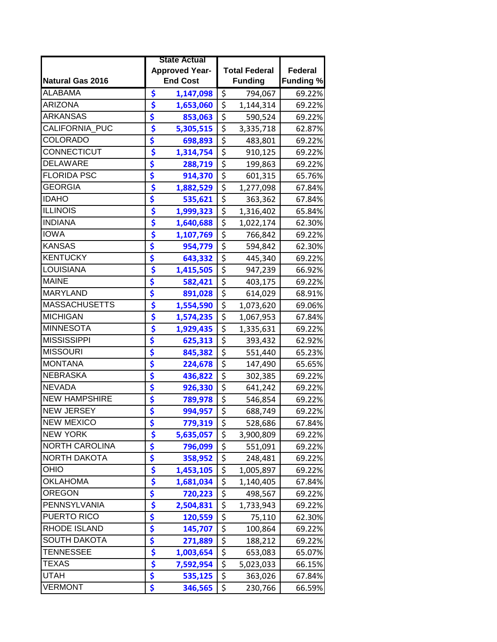|                       | <b>State Actual</b>   |                                 |                      |                  |
|-----------------------|-----------------------|---------------------------------|----------------------|------------------|
|                       | <b>Approved Year-</b> |                                 | <b>Total Federal</b> | <b>Federal</b>   |
| Natural Gas 2016      | <b>End Cost</b>       |                                 | <b>Funding</b>       | <b>Funding %</b> |
| <b>ALABAMA</b>        | \$<br>1,147,098       | \$                              | 794,067              | 69.22%           |
| <b>ARIZONA</b>        | \$<br>1,653,060       | \$                              | 1,144,314            | 69.22%           |
| <b>ARKANSAS</b>       | \$<br>853,063         | \$                              | 590,524              | 69.22%           |
| <b>CALIFORNIA PUC</b> | \$<br>5,305,515       | \$                              | 3,335,718            | 62.87%           |
| <b>COLORADO</b>       | \$<br>698,893         | \$                              | 483,801              | 69.22%           |
| CONNECTICUT           | \$<br>1,314,754       | \$                              | 910,125              | 69.22%           |
| <b>DELAWARE</b>       | \$<br>288,719         | \$                              | 199,863              | 69.22%           |
| <b>FLORIDA PSC</b>    | \$<br>914,370         | \$                              | 601,315              | 65.76%           |
| <b>GEORGIA</b>        | \$<br>1,882,529       | \$                              | 1,277,098            | 67.84%           |
| <b>IDAHO</b>          | \$<br>535,621         | $\overline{\boldsymbol{\zeta}}$ | 363,362              | 67.84%           |
| <b>ILLINOIS</b>       | \$<br>1,999,323       | $\overline{\xi}$                | 1,316,402            | 65.84%           |
| <b>INDIANA</b>        | \$<br>1,640,688       | \$                              | 1,022,174            | 62.30%           |
| <b>IOWA</b>           | \$<br>1,107,769       | \$                              | 766,842              | 69.22%           |
| <b>KANSAS</b>         | \$<br>954,779         | $\overline{\xi}$                | 594,842              | 62.30%           |
| <b>KENTUCKY</b>       | \$<br>643,332         | $\overline{\boldsymbol{\zeta}}$ | 445,340              | 69.22%           |
| LOUISIANA             | \$<br>1,415,505       | \$                              | 947,239              | 66.92%           |
| <b>MAINE</b>          | \$<br>582,421         | $\overline{\xi}$                | 403,175              | 69.22%           |
| <b>MARYLAND</b>       | \$<br>891,028         | $\overline{\xi}$                | 614,029              | 68.91%           |
| <b>MASSACHUSETTS</b>  | \$<br>1,554,590       | \$                              | 1,073,620            | 69.06%           |
| <b>MICHIGAN</b>       | \$<br>1,574,235       | $\overline{\xi}$                | 1,067,953            | 67.84%           |
| <b>MINNESOTA</b>      | \$<br>1,929,435       | $\overline{\boldsymbol{\zeta}}$ | 1,335,631            | 69.22%           |
| <b>MISSISSIPPI</b>    | \$<br>625,313         | $\overline{\xi}$                | 393,432              | 62.92%           |
| <b>MISSOURI</b>       | \$<br>845,382         | \$                              | 551,440              | 65.23%           |
| <b>MONTANA</b>        | \$<br>224,678         | $\overline{\boldsymbol{\zeta}}$ | 147,490              | 65.65%           |
| <b>NEBRASKA</b>       | \$<br>436,822         | \$                              | 302,385              | 69.22%           |
| <b>NEVADA</b>         | \$<br>926,330         | \$                              | 641,242              | 69.22%           |
| <b>NEW HAMPSHIRE</b>  | \$<br>789,978         | $\overline{\boldsymbol{\zeta}}$ | 546,854              | 69.22%           |
| <b>NEW JERSEY</b>     | \$<br>994,957         | $\overline{\xi}$                | 688,749              | 69.22%           |
| <b>NEW MEXICO</b>     | \$<br>779,319         | \$                              | 528,686              | 67.84%           |
| <b>NEW YORK</b>       | \$<br>5,635,057       | \$                              | 3,900,809            | 69.22%           |
| <b>NORTH CAROLINA</b> | \$<br>796,099         | $\overline{\boldsymbol{\zeta}}$ | 551,091              | 69.22%           |
| <b>NORTH DAKOTA</b>   | \$<br>358,952         | \$                              | 248,481              | 69.22%           |
| <b>OHIO</b>           | \$<br>1,453,105       | $\overline{\varsigma}$          | 1,005,897            | 69.22%           |
| <b>OKLAHOMA</b>       | \$<br>1,681,034       | \$                              | 1,140,405            | 67.84%           |
| <b>OREGON</b>         | \$<br>720,223         | \$                              | 498,567              | 69.22%           |
| PENNSYLVANIA          | \$<br>2,504,831       | $\overline{\xi}$                | 1,733,943            | 69.22%           |
| PUERTO RICO           | \$<br>120,559         | \$                              | 75,110               | 62.30%           |
| RHODE ISLAND          | \$<br>145,707         | \$                              | 100,864              | 69.22%           |
| SOUTH DAKOTA          | \$<br>271,889         | $\overline{\xi}$                | 188,212              | 69.22%           |
| TENNESSEE             | \$<br>1,003,654       | $\overline{\boldsymbol{\zeta}}$ | 653,083              | 65.07%           |
| <b>TEXAS</b>          | \$<br>7,592,954       | \$                              | 5,023,033            | 66.15%           |
| <b>UTAH</b>           | \$<br>535,125         | \$                              | 363,026              | 67.84%           |
| <b>VERMONT</b>        | \$<br>346,565         | \$                              | 230,766              | 66.59%           |
|                       |                       |                                 |                      |                  |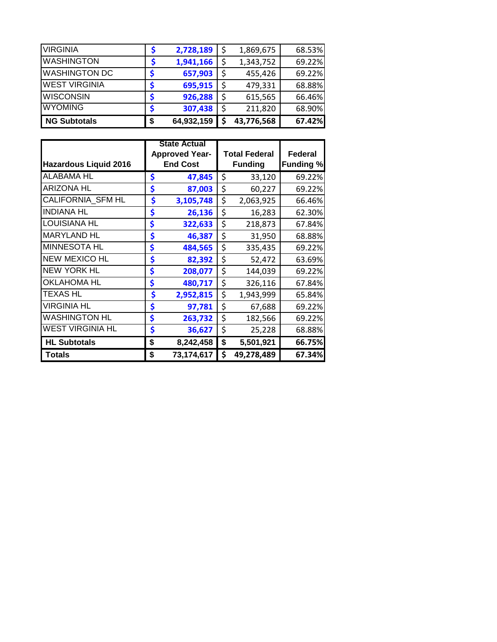| <b>NG Subtotals</b>  | \$ | 64,932,159 | \$<br>43,776,568 | 67.42% |
|----------------------|----|------------|------------------|--------|
| <b>WYOMING</b>       | S  | 307,438    | \$<br>211,820    | 68.90% |
| <b>WISCONSIN</b>     |    | 926,288    | \$<br>615,565    | 66.46% |
| <b>WEST VIRGINIA</b> |    | 695,915    | \$<br>479,331    | 68.88% |
| <b>WASHINGTON DC</b> |    | 657,903    | \$<br>455,426    | 69.22% |
| <b>WASHINGTON</b>    |    | 1,941,166  | \$<br>1,343,752  | 69.22% |
| <b>VIRGINIA</b>      |    | 2,728,189  | \$<br>1,869,675  | 68.53% |

| <b>Hazardous Liquid 2016</b> | <b>State Actual</b><br><b>Approved Year-</b><br><b>End Cost</b> | <b>Total Federal</b><br><b>Funding</b> | <b>Federal</b><br><b>Funding %</b> |
|------------------------------|-----------------------------------------------------------------|----------------------------------------|------------------------------------|
| ALABAMA HL                   | \$<br>47,845                                                    | \$<br>33,120                           | 69.22%                             |
| <b>ARIZONA HL</b>            | \$<br>87,003                                                    | \$<br>60,227                           | 69.22%                             |
| CALIFORNIA SFM HL            | \$<br>3,105,748                                                 | \$<br>2,063,925                        | 66.46%                             |
| <b>INDIANA HL</b>            | \$<br>26,136                                                    | \$<br>16,283                           | 62.30%                             |
| <b>LOUISIANA HL</b>          | \$<br>322,633                                                   | \$<br>218,873                          | 67.84%                             |
| <b>MARYLAND HL</b>           | \$<br>46,387                                                    | \$<br>31,950                           | 68.88%                             |
| <b>MINNESOTA HL</b>          | \$<br>484,565                                                   | \$<br>335,435                          | 69.22%                             |
| <b>NEW MEXICO HL</b>         | \$<br>82,392                                                    | \$<br>52,472                           | 63.69%                             |
| <b>NEW YORK HL</b>           | \$<br>208,077                                                   | \$<br>144,039                          | 69.22%                             |
| <b>OKLAHOMA HL</b>           | \$<br>480,717                                                   | \$<br>326,116                          | 67.84%                             |
| <b>TEXAS HL</b>              | \$<br>2,952,815                                                 | \$<br>1,943,999                        | 65.84%                             |
| VIRGINIA HL                  | \$<br>97,781                                                    | \$<br>67,688                           | 69.22%                             |
| <b>WASHINGTON HL</b>         | \$<br>263,732                                                   | \$<br>182,566                          | 69.22%                             |
| <b>WEST VIRGINIA HL</b>      | \$<br>36,627                                                    | \$<br>25,228                           | 68.88%                             |
| <b>HL Subtotals</b>          | \$<br>8,242,458                                                 | \$<br>5,501,921                        | 66.75%                             |
| <b>Totals</b>                | \$<br>73,174,617                                                | \$<br>49,278,489                       | 67.34%                             |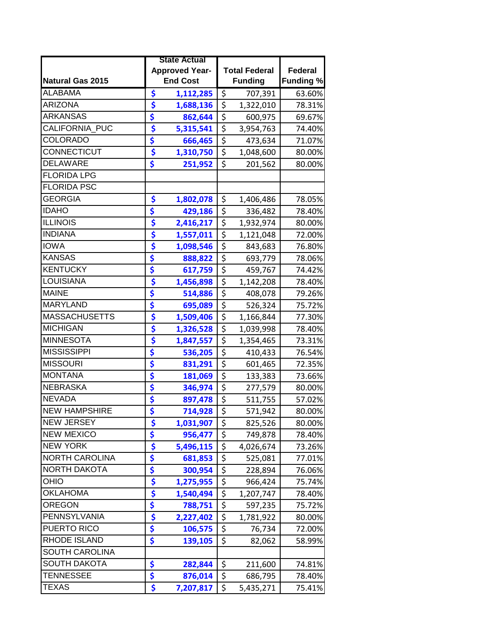|                         | <b>State Actual</b>   |                                 |                      |                  |
|-------------------------|-----------------------|---------------------------------|----------------------|------------------|
|                         | <b>Approved Year-</b> |                                 | <b>Total Federal</b> | Federal          |
| <b>Natural Gas 2015</b> | <b>End Cost</b>       |                                 | <b>Funding</b>       | <b>Funding %</b> |
| <b>ALABAMA</b>          | \$<br>1,112,285       | \$                              | 707,391              | 63.60%           |
| <b>ARIZONA</b>          | \$<br>1,688,136       | \$                              | 1,322,010            | 78.31%           |
| <b>ARKANSAS</b>         | \$<br>862,644         | \$                              | 600,975              | 69.67%           |
| <b>CALIFORNIA PUC</b>   | \$<br>5,315,541       | \$                              | 3,954,763            | 74.40%           |
| COLORADO                | \$<br>666,465         | $\overline{\xi}$                | 473,634              | 71.07%           |
| CONNECTICUT             | \$<br>1,310,750       | \$                              | 1,048,600            | 80.00%           |
| <b>DELAWARE</b>         | \$<br>251,952         | \$                              | 201,562              | 80.00%           |
| <b>FLORIDA LPG</b>      |                       |                                 |                      |                  |
| <b>FLORIDA PSC</b>      |                       |                                 |                      |                  |
| <b>GEORGIA</b>          | \$<br>1,802,078       | \$                              | 1,406,486            | 78.05%           |
| <b>IDAHO</b>            | \$<br>429,186         | $\overline{\xi}$                | 336,482              | 78.40%           |
| <b>ILLINOIS</b>         | \$<br>2,416,217       | \$                              | 1,932,974            | 80.00%           |
| <b>INDIANA</b>          | \$<br>1,557,011       | \$                              | 1,121,048            | 72.00%           |
| <b>IOWA</b>             | \$<br>1,098,546       | \$                              | 843,683              | 76.80%           |
| <b>KANSAS</b>           | \$<br>888,822         | $\overline{\xi}$                | 693,779              | 78.06%           |
| <b>KENTUCKY</b>         | \$<br>617,759         | \$                              | 459,767              | 74.42%           |
| <b>LOUISIANA</b>        | \$<br>1,456,898       | $\overline{\xi}$                | 1,142,208            | 78.40%           |
| <b>MAINE</b>            | \$<br>514,886         | $\overline{\xi}$                | 408,078              | 79.26%           |
| <b>MARYLAND</b>         | \$<br>695,089         | $\overline{\varsigma}$          | 526,324              | 75.72%           |
| <b>MASSACHUSETTS</b>    | \$<br>1,509,406       | $\overline{\boldsymbol{\zeta}}$ | 1,166,844            | 77.30%           |
| <b>MICHIGAN</b>         | \$<br>1,326,528       | $\overline{\xi}$                | 1,039,998            | 78.40%           |
| <b>MINNESOTA</b>        | \$<br>1,847,557       | $\overline{\boldsymbol{\zeta}}$ | 1,354,465            | 73.31%           |
| <b>MISSISSIPPI</b>      | \$<br>536,205         | \$                              | 410,433              | 76.54%           |
| <b>MISSOURI</b>         | \$<br>831,291         | $\overline{\xi}$                | 601,465              | 72.35%           |
| <b>MONTANA</b>          | \$<br>181,069         | \$                              | 133,383              | 73.66%           |
| <b>NEBRASKA</b>         | \$<br>346,974         | \$                              | 277,579              | 80.00%           |
| <b>NEVADA</b>           | \$<br>897,478         | $\overline{\xi}$                | 511,755              | 57.02%           |
| <b>NEW HAMPSHIRE</b>    | \$<br>714,928         | \$                              | 571,942              | 80.00%           |
| NEW JERSEY              | \$<br>1,031,907       | \$                              | 825,526              | 80.00%           |
| <b>NEW MEXICO</b>       | \$<br>956,477         | \$                              | 749,878              | 78.40%           |
| <b>NEW YORK</b>         | \$<br>5,496,115       | \$                              | 4,026,674            | 73.26%           |
| NORTH CAROLINA          | \$<br>681,853         | \$                              | 525,081              | 77.01%           |
| <b>NORTH DAKOTA</b>     | \$<br>300,954         | $\overline{\xi}$                | 228,894              | 76.06%           |
| <b>OHIO</b>             | \$<br>1,275,955       | $\overline{\xi}$                | 966,424              | 75.74%           |
| <b>OKLAHOMA</b>         | \$<br>1,540,494       | $\overline{\boldsymbol{\zeta}}$ | 1,207,747            | 78.40%           |
| <b>OREGON</b>           | \$<br>788,751         | $\overline{\xi}$                | 597,235              | 75.72%           |
| PENNSYLVANIA            | \$<br>2,227,402       | $\overline{\varsigma}$          | 1,781,922            | 80.00%           |
| PUERTO RICO             | \$<br>106,575         | \$                              | 76,734               | 72.00%           |
| RHODE ISLAND            | \$<br>139,105         | \$                              | 82,062               | 58.99%           |
| <b>SOUTH CAROLINA</b>   |                       |                                 |                      |                  |
| <b>SOUTH DAKOTA</b>     | \$<br>282,844         | \$                              | 211,600              | 74.81%           |
| <b>TENNESSEE</b>        | \$<br>876,014         | \$                              | 686,795              | 78.40%           |
| <b>TEXAS</b>            | \$<br>7,207,817       | \$                              | 5,435,271            | 75.41%           |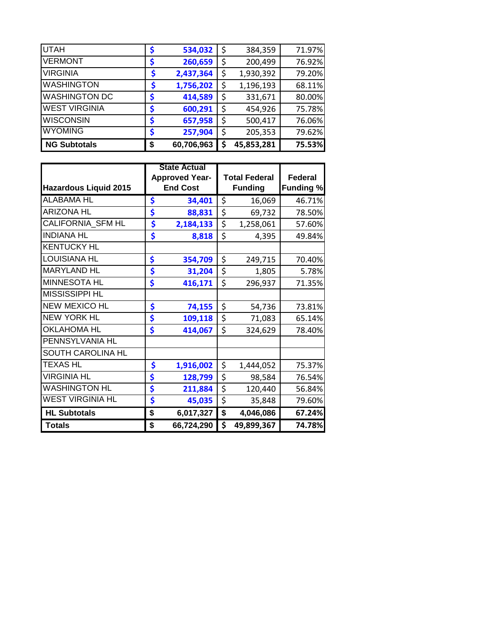| <b>NG Subtotals</b>  | \$ | 60,706,963 | \$<br>45,853,281 | 75.53% |
|----------------------|----|------------|------------------|--------|
| <b>WYOMING</b>       | S  | 257,904    | \$<br>205,353    | 79.62% |
| <b>WISCONSIN</b>     | S  | 657,958    | \$<br>500,417    | 76.06% |
| <b>WEST VIRGINIA</b> | S  | 600,291    | \$<br>454,926    | 75.78% |
| <b>WASHINGTON DC</b> | S  | 414,589    | \$<br>331,671    | 80.00% |
| <b>WASHINGTON</b>    | Ş  | 1,756,202  | \$<br>1,196,193  | 68.11% |
| <b>VIRGINIA</b>      | \$ | 2,437,364  | \$<br>1,930,392  | 79.20% |
| <b>VERMONT</b>       | \$ | 260,659    | \$<br>200,499    | 76.92% |
| <b>UTAH</b>          | S  | 534,032    | \$<br>384,359    | 71.97% |

|                              | <b>State Actual</b>   |                      |                  |
|------------------------------|-----------------------|----------------------|------------------|
|                              | <b>Approved Year-</b> | <b>Total Federal</b> | Federal          |
| <b>Hazardous Liquid 2015</b> | <b>End Cost</b>       | <b>Funding</b>       | <b>Funding %</b> |
| <b>ALABAMA HL</b>            | \$<br>34,401          | \$<br>16,069         | 46.71%           |
| <b>ARIZONA HL</b>            | \$<br>88,831          | \$<br>69,732         | 78.50%           |
| CALIFORNIA_SFM HL            | \$<br>2,184,133       | \$<br>1,258,061      | 57.60%           |
| <b>INDIANA HL</b>            | \$<br>8,818           | \$<br>4,395          | 49.84%           |
| <b>KENTUCKY HL</b>           |                       |                      |                  |
| <b>LOUISIANA HL</b>          | \$<br>354,709         | \$<br>249,715        | 70.40%           |
| <b>MARYLAND HL</b>           | \$<br>31,204          | \$<br>1,805          | 5.78%            |
| MINNESOTA HL                 | \$<br>416,171         | \$<br>296,937        | 71.35%           |
| MISSISSIPPI HL               |                       |                      |                  |
| <b>NEW MEXICO HL</b>         | \$<br>74,155          | \$<br>54,736         | 73.81%           |
| <b>NEW YORK HL</b>           | \$<br>109,118         | \$<br>71,083         | 65.14%           |
| <b>OKLAHOMA HL</b>           | \$<br>414,067         | \$<br>324,629        | 78.40%           |
| PENNSYLVANIA HL              |                       |                      |                  |
| SOUTH CAROLINA HL            |                       |                      |                  |
| <b>TEXAS HL</b>              | \$<br>1,916,002       | \$<br>1,444,052      | 75.37%           |
| <b>VIRGINIA HL</b>           | \$<br>128,799         | \$<br>98,584         | 76.54%           |
| <b>WASHINGTON HL</b>         | \$<br>211,884         | \$<br>120,440        | 56.84%           |
| <b>WEST VIRGINIA HL</b>      | \$<br>45,035          | \$<br>35,848         | 79.60%           |
| <b>HL Subtotals</b>          | \$<br>6,017,327       | \$<br>4,046,086      | 67.24%           |
| <b>Totals</b>                | \$<br>66,724,290      | \$<br>49,899,367     | 74.78%           |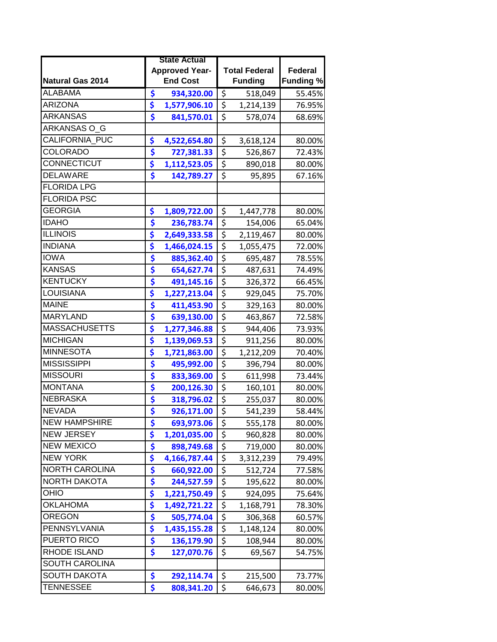|                         |    | <b>State Actual</b>   |                                 |                      |                |
|-------------------------|----|-----------------------|---------------------------------|----------------------|----------------|
|                         |    | <b>Approved Year-</b> |                                 | <b>Total Federal</b> | <b>Federal</b> |
| <b>Natural Gas 2014</b> |    | <b>End Cost</b>       |                                 | <b>Funding</b>       | Funding %      |
| <b>ALABAMA</b>          | \$ | 934,320.00            | \$                              | 518,049              | 55.45%         |
| <b>ARIZONA</b>          | \$ | 1,577,906.10          | \$                              | 1,214,139            | 76.95%         |
| <b>ARKANSAS</b>         | \$ | 841,570.01            | $\overline{\boldsymbol{\zeta}}$ | 578,074              | 68.69%         |
| ARKANSAS O G            |    |                       |                                 |                      |                |
| CALIFORNIA PUC          | \$ | 4,522,654.80          | \$                              | 3,618,124            | 80.00%         |
| <b>COLORADO</b>         | \$ | 727,381.33            | \$                              | 526,867              | 72.43%         |
| CONNECTICUT             | \$ | 1,112,523.05          | \$                              | 890,018              | 80.00%         |
| <b>DELAWARE</b>         | \$ | 142,789.27            | \$                              | 95,895               | 67.16%         |
| <b>FLORIDA LPG</b>      |    |                       |                                 |                      |                |
| <b>FLORIDA PSC</b>      |    |                       |                                 |                      |                |
| <b>GEORGIA</b>          | \$ | 1,809,722.00          | \$                              | 1,447,778            | 80.00%         |
| <b>IDAHO</b>            | \$ | 236,783.74            | \$                              | 154,006              | 65.04%         |
| <b>ILLINOIS</b>         | \$ | 2,649,333.58          | \$                              | 2,119,467            | 80.00%         |
| <b>INDIANA</b>          | \$ | 1,466,024.15          | \$                              | 1,055,475            | 72.00%         |
| <b>IOWA</b>             | \$ | 885,362.40            | $\overline{\xi}$                | 695,487              | 78.55%         |
| <b>KANSAS</b>           | \$ | 654,627.74            | \$                              | 487,631              | 74.49%         |
| <b>KENTUCKY</b>         | \$ | 491,145.16            | \$                              | 326,372              | 66.45%         |
| <b>LOUISIANA</b>        | \$ | 1,227,213.04          | \$                              | 929,045              | 75.70%         |
| <b>MAINE</b>            | \$ | 411,453.90            | \$                              | 329,163              | 80.00%         |
| <b>MARYLAND</b>         | \$ | 639,130.00            | \$                              | 463,867              | 72.58%         |
| <b>MASSACHUSETTS</b>    | \$ | 1,277,346.88          | \$                              | 944,406              | 73.93%         |
| <b>MICHIGAN</b>         | \$ | 1,139,069.53          | $\overline{\xi}$                | 911,256              | 80.00%         |
| <b>MINNESOTA</b>        | \$ | 1,721,863.00          | \$                              | 1,212,209            | 70.40%         |
| <b>MISSISSIPPI</b>      | \$ | 495,992.00            | \$                              | 396,794              | 80.00%         |
| <b>MISSOURI</b>         | \$ | 833,369.00            | $\overline{\xi}$                | 611,998              | 73.44%         |
| <b>MONTANA</b>          | \$ | 200,126.30            | \$                              | 160,101              | 80.00%         |
| <b>NEBRASKA</b>         | \$ | 318,796.02            | \$                              | 255,037              | 80.00%         |
| <b>NEVADA</b>           | \$ | 926,171.00            | \$                              | 541,239              | 58.44%         |
| <b>NEW HAMPSHIRE</b>    | \$ | 693,973.06            | \$                              | 555,178              | 80.00%         |
| <b>NEW JERSEY</b>       | \$ | 1,201,035.00          | \$                              | 960,828              | 80.00%         |
| <b>NEW MEXICO</b>       | \$ | 898,749.68            | \$                              | 719,000              | 80.00%         |
| <b>NEW YORK</b>         | \$ | 4,166,787.44          | \$                              | 3,312,239            | 79.49%         |
| <b>NORTH CAROLINA</b>   | \$ | 660,922.00            | \$                              | 512,724              | 77.58%         |
| <b>NORTH DAKOTA</b>     | \$ | 244,527.59            | \$                              | 195,622              | 80.00%         |
| <b>OHIO</b>             | \$ | 1,221,750.49          | $\overline{\xi}$                | 924,095              | 75.64%         |
| <b>OKLAHOMA</b>         | \$ | 1,492,721.22          | \$                              | 1,168,791            | 78.30%         |
| <b>OREGON</b>           | \$ | 505,774.04            | $\overline{\varsigma}$          | 306,368              | 60.57%         |
| PENNSYLVANIA            | \$ | 1,435,155.28          | \$                              | 1,148,124            | 80.00%         |
| PUERTO RICO             | \$ | 136,179.90            | \$                              | 108,944              | 80.00%         |
| RHODE ISLAND            | \$ | 127,070.76            | \$                              | 69,567               | 54.75%         |
| <b>SOUTH CAROLINA</b>   |    |                       |                                 |                      |                |
| <b>SOUTH DAKOTA</b>     | \$ | 292,114.74            | \$                              | 215,500              | 73.77%         |
| <b>TENNESSEE</b>        | \$ | 808,341.20            | \$                              | 646,673              | 80.00%         |
|                         |    |                       |                                 |                      |                |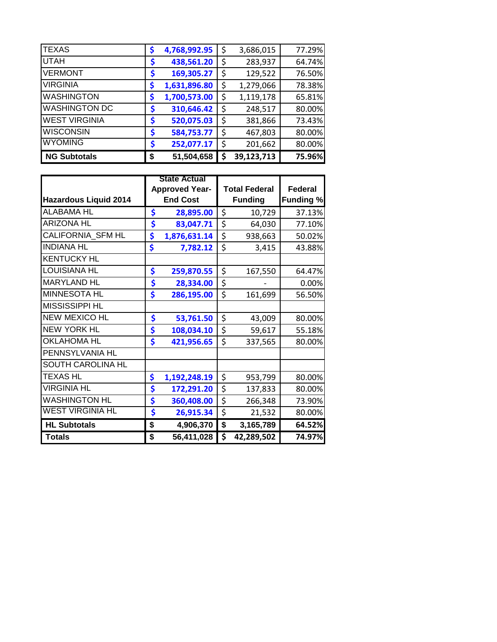| <b>TEXAS</b>         | Ş  | 4,768,992.95 | \$ | 3,686,015  | 77.29% |
|----------------------|----|--------------|----|------------|--------|
| <b>UTAH</b>          | Ş  | 438,561.20   | \$ | 283,937    | 64.74% |
| <b>VERMONT</b>       | Ş  | 169,305.27   | \$ | 129,522    | 76.50% |
| <b>VIRGINIA</b>      | Ş  | 1,631,896.80 | \$ | 1,279,066  | 78.38% |
| <b>WASHINGTON</b>    | S  | 1,700,573.00 | \$ | 1,119,178  | 65.81% |
| <b>WASHINGTON DC</b> | \$ | 310,646.42   | \$ | 248,517    | 80.00% |
| <b>WEST VIRGINIA</b> | \$ | 520,075.03   | \$ | 381,866    | 73.43% |
| <b>WISCONSIN</b>     | \$ | 584,753.77   | \$ | 467,803    | 80.00% |
| <b>WYOMING</b>       | Ś  | 252,077.17   | \$ | 201,662    | 80.00% |
| <b>NG Subtotals</b>  | \$ | 51,504,658   | Ş  | 39,123,713 | 75.96% |

|                              | <b>State Actual</b>   |                      |                  |
|------------------------------|-----------------------|----------------------|------------------|
|                              | <b>Approved Year-</b> | <b>Total Federal</b> | <b>Federal</b>   |
| <b>Hazardous Liquid 2014</b> | <b>End Cost</b>       | <b>Funding</b>       | <b>Funding %</b> |
| <b>ALABAMA HL</b>            | \$<br>28,895.00       | \$<br>10,729         | 37.13%           |
| <b>ARIZONA HL</b>            | \$<br>83,047.71       | \$<br>64,030         | 77.10%           |
| CALIFORNIA_SFM HL            | \$<br>1,876,631.14    | \$<br>938,663        | 50.02%           |
| <b>INDIANA HL</b>            | \$<br>7,782.12        | \$<br>3,415          | 43.88%           |
| <b>KENTUCKY HL</b>           |                       |                      |                  |
| <b>LOUISIANA HL</b>          | \$<br>259,870.55      | \$<br>167,550        | 64.47%           |
| <b>MARYLAND HL</b>           | \$<br>28,334.00       | \$                   | 0.00%            |
| MINNESOTA HL                 | \$<br>286,195.00      | \$<br>161,699        | 56.50%           |
| MISSISSIPPI HL               |                       |                      |                  |
| <b>NEW MEXICO HL</b>         | \$<br>53,761.50       | \$<br>43,009         | 80.00%           |
| <b>NEW YORK HL</b>           | \$<br>108,034.10      | \$<br>59,617         | 55.18%           |
| <b>OKLAHOMA HL</b>           | \$<br>421,956.65      | \$<br>337,565        | 80.00%           |
| PENNSYLVANIA HL              |                       |                      |                  |
| SOUTH CAROLINA HL            |                       |                      |                  |
| <b>TEXAS HL</b>              | \$<br>1,192,248.19    | \$<br>953,799        | 80.00%           |
| <b>VIRGINIA HL</b>           | \$<br>172,291.20      | \$<br>137,833        | 80.00%           |
| <b>WASHINGTON HL</b>         | \$<br>360,408.00      | \$<br>266,348        | 73.90%           |
| <b>WEST VIRGINIA HL</b>      | \$<br>26,915.34       | \$<br>21,532         | 80.00%           |
| <b>HL Subtotals</b>          | \$<br>4,906,370       | \$<br>3,165,789      | 64.52%           |
| <b>Totals</b>                | \$<br>56,411,028      | \$<br>42,289,502     | 74.97%           |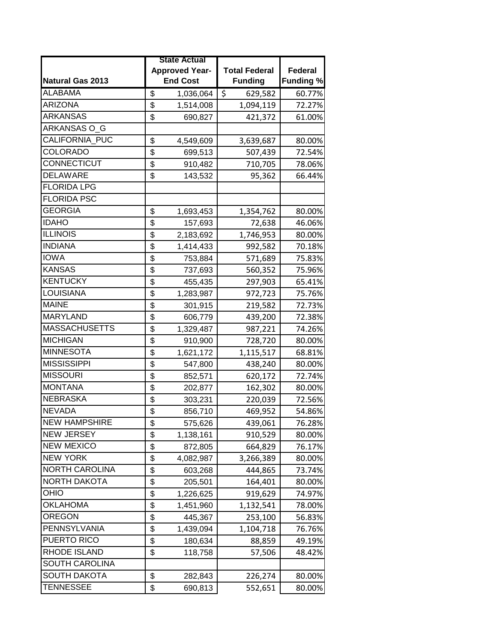|                         | <b>State Actual</b>   |                      |                  |
|-------------------------|-----------------------|----------------------|------------------|
|                         | <b>Approved Year-</b> | <b>Total Federal</b> | <b>Federal</b>   |
| <b>Natural Gas 2013</b> | <b>End Cost</b>       | <b>Funding</b>       | <b>Funding %</b> |
| <b>ALABAMA</b>          | \$<br>1,036,064       | \$<br>629,582        | 60.77%           |
| <b>ARIZONA</b>          | \$<br>1,514,008       | 1,094,119            | 72.27%           |
| <b>ARKANSAS</b>         | \$<br>690,827         | 421,372              | 61.00%           |
| ARKANSAS O G            |                       |                      |                  |
| CALIFORNIA PUC          | \$<br>4,549,609       | 3,639,687            | 80.00%           |
| <b>COLORADO</b>         | \$<br>699,513         | 507,439              | 72.54%           |
| CONNECTICUT             | \$<br>910,482         | 710,705              | 78.06%           |
| <b>DELAWARE</b>         | \$<br>143,532         | 95,362               | 66.44%           |
| <b>FLORIDA LPG</b>      |                       |                      |                  |
| <b>FLORIDA PSC</b>      |                       |                      |                  |
| <b>GEORGIA</b>          | \$<br>1,693,453       | 1,354,762            | 80.00%           |
| <b>IDAHO</b>            | \$<br>157,693         | 72,638               | 46.06%           |
| <b>ILLINOIS</b>         | \$<br>2,183,692       | 1,746,953            | 80.00%           |
| <b>INDIANA</b>          | \$<br>1,414,433       | 992,582              | 70.18%           |
| <b>IOWA</b>             | \$<br>753,884         | 571,689              | 75.83%           |
| <b>KANSAS</b>           | \$<br>737,693         | 560,352              | 75.96%           |
| <b>KENTUCKY</b>         | \$<br>455,435         | 297,903              | 65.41%           |
| <b>LOUISIANA</b>        | \$<br>1,283,987       | 972,723              | 75.76%           |
| <b>MAINE</b>            | \$<br>301,915         | 219,582              | 72.73%           |
| <b>MARYLAND</b>         | \$<br>606,779         | 439,200              | 72.38%           |
| <b>MASSACHUSETTS</b>    | \$<br>1,329,487       | 987,221              | 74.26%           |
| <b>MICHIGAN</b>         | \$<br>910,900         | 728,720              | 80.00%           |
| <b>MINNESOTA</b>        | \$<br>1,621,172       | 1,115,517            | 68.81%           |
| <b>MISSISSIPPI</b>      | \$<br>547,800         | 438,240              | 80.00%           |
| <b>MISSOURI</b>         | \$<br>852,571         | 620,172              | 72.74%           |
| <b>MONTANA</b>          | \$<br>202,877         | 162,302              | 80.00%           |
| <b>NEBRASKA</b>         | \$<br>303,231         | 220,039              | 72.56%           |
| <b>NEVADA</b>           | \$<br>856,710         | 469,952              | 54.86%           |
| <b>NEW HAMPSHIRE</b>    | \$<br>575,626         | 439,061              | 76.28%           |
| <b>NEW JERSEY</b>       | \$<br>1,138,161       | 910,529              | 80.00%           |
| <b>NEW MEXICO</b>       | \$<br>872,805         | 664,829              | 76.17%           |
| <b>NEW YORK</b>         | \$<br>4,082,987       | 3,266,389            | 80.00%           |
| <b>NORTH CAROLINA</b>   | \$<br>603,268         | 444,865              | 73.74%           |
| <b>NORTH DAKOTA</b>     | \$<br>205,501         | 164,401              | 80.00%           |
| OHIO                    | \$<br>1,226,625       | 919,629              | 74.97%           |
| <b>OKLAHOMA</b>         | \$<br>1,451,960       | 1,132,541            | 78.00%           |
| <b>OREGON</b>           | \$<br>445,367         | 253,100              | 56.83%           |
| PENNSYLVANIA            | \$<br>1,439,094       |                      | 76.76%           |
| PUERTO RICO             | \$                    | 1,104,718            |                  |
| RHODE ISLAND            | 180,634               | 88,859               | 49.19%           |
| <b>SOUTH CAROLINA</b>   | \$<br>118,758         | 57,506               | 48.42%           |
|                         |                       |                      |                  |
| <b>SOUTH DAKOTA</b>     | \$<br>282,843         | 226,274              | 80.00%           |
| <b>TENNESSEE</b>        | \$<br>690,813         | 552,651              | 80.00%           |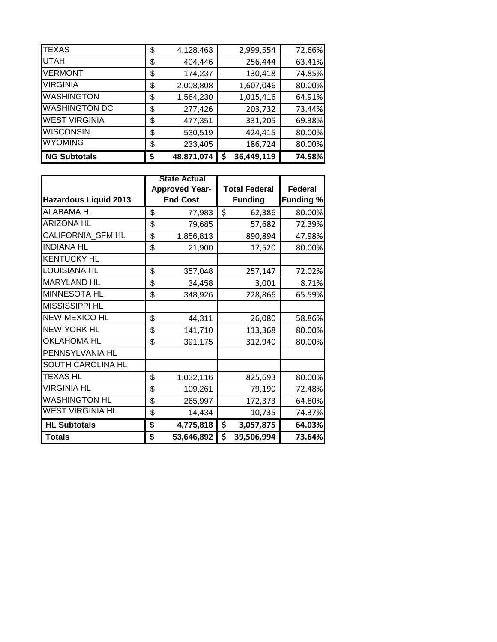| <b>NG Subtotals</b>  | \$<br>48,871,074 | 36,449,119<br>\$ | 74.58% |
|----------------------|------------------|------------------|--------|
| <b>WYOMING</b>       | \$<br>233,405    | 186,724          | 80.00% |
| <b>WISCONSIN</b>     | \$<br>530,519    | 424,415          | 80.00% |
| <b>WEST VIRGINIA</b> | \$<br>477,351    | 331,205          | 69.38% |
| <b>WASHINGTON DC</b> | \$<br>277,426    | 203,732          | 73.44% |
| <b>WASHINGTON</b>    | \$<br>1,564,230  | 1,015,416        | 64.91% |
| <b>VIRGINIA</b>      | \$<br>2,008,808  | 1,607,046        | 80.00% |
| <b>VERMONT</b>       | \$<br>174,237    | 130,418          | 74.85% |
| <b>UTAH</b>          | \$<br>404,446    | 256,444          | 63.41% |
| <b>TEXAS</b>         | \$<br>4,128,463  | 2,999,554        | 72.66% |

|                              | <b>State Actual</b><br><b>Approved Year-</b> | <b>Total Federal</b> | <b>Federal</b>   |
|------------------------------|----------------------------------------------|----------------------|------------------|
| <b>Hazardous Liquid 2013</b> | <b>End Cost</b>                              | <b>Funding</b>       | <b>Funding %</b> |
| <b>ALABAMA HL</b>            | \$<br>77,983                                 | \$<br>62,386         | 80.00%           |
| <b>ARIZONA HL</b>            | \$<br>79,685                                 | 57,682               | 72.39%           |
| CALIFORNIA SFM HL            | \$<br>1,856,813                              | 890,894              | 47.98%           |
| <b>INDIANA HL</b>            | \$<br>21,900                                 | 17,520               | 80.00%           |
| <b>KENTUCKY HL</b>           |                                              |                      |                  |
| LOUISIANA HL                 | \$<br>357,048                                | 257,147              | 72.02%           |
| <b>MARYLAND HL</b>           | \$<br>34,458                                 | 3,001                | 8.71%            |
| <b>MINNESOTA HL</b>          | \$<br>348,926                                | 228,866              | 65.59%           |
| MISSISSIPPI HL               |                                              |                      |                  |
| <b>NEW MEXICO HL</b>         | \$<br>44,311                                 | 26,080               | 58.86%           |
| <b>NEW YORK HL</b>           | \$<br>141,710                                | 113,368              | 80.00%           |
| <b>OKLAHOMA HL</b>           | \$<br>391,175                                | 312,940              | 80.00%           |
| PENNSYLVANIA HL              |                                              |                      |                  |
| SOUTH CAROLINA HL            |                                              |                      |                  |
| <b>TEXAS HL</b>              | \$<br>1,032,116                              | 825,693              | 80.00%           |
| <b>VIRGINIA HL</b>           | \$<br>109,261                                | 79,190               | 72.48%           |
| <b>WASHINGTON HL</b>         | \$<br>265,997                                | 172,373              | 64.80%           |
| <b>WEST VIRGINIA HL</b>      | \$<br>14,434                                 | 10,735               | 74.37%           |
| <b>HL Subtotals</b>          | \$<br>4,775,818                              | \$<br>3,057,875      | 64.03%           |
| <b>Totals</b>                | \$<br>53,646,892                             | \$<br>39,506,994     | 73.64%           |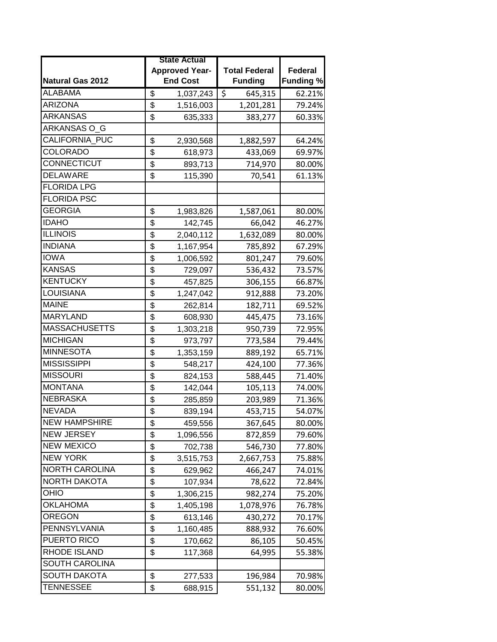|                         | <b>State Actual</b>   |                      |                  |
|-------------------------|-----------------------|----------------------|------------------|
|                         | <b>Approved Year-</b> | <b>Total Federal</b> | <b>Federal</b>   |
| <b>Natural Gas 2012</b> | <b>End Cost</b>       | <b>Funding</b>       | <b>Funding %</b> |
| <b>ALABAMA</b>          | \$<br>1,037,243       | \$<br>645,315        | 62.21%           |
| <b>ARIZONA</b>          | \$<br>1,516,003       | 1,201,281            | 79.24%           |
| <b>ARKANSAS</b>         | \$<br>635,333         | 383,277              | 60.33%           |
| ARKANSAS O G            |                       |                      |                  |
| CALIFORNIA PUC          | \$<br>2,930,568       | 1,882,597            | 64.24%           |
| COLORADO                | \$<br>618,973         | 433,069              | 69.97%           |
| CONNECTICUT             | \$<br>893,713         | 714,970              | 80.00%           |
| <b>DELAWARE</b>         | \$<br>115,390         | 70,541               | 61.13%           |
| <b>FLORIDA LPG</b>      |                       |                      |                  |
| <b>FLORIDA PSC</b>      |                       |                      |                  |
| <b>GEORGIA</b>          | \$<br>1,983,826       | 1,587,061            | 80.00%           |
| <b>IDAHO</b>            | \$<br>142,745         | 66,042               | 46.27%           |
| <b>ILLINOIS</b>         | \$<br>2,040,112       | 1,632,089            | 80.00%           |
| <b>INDIANA</b>          | \$<br>1,167,954       | 785,892              | 67.29%           |
| <b>IOWA</b>             | \$<br>1,006,592       | 801,247              | 79.60%           |
| <b>KANSAS</b>           | \$<br>729,097         | 536,432              | 73.57%           |
| <b>KENTUCKY</b>         | \$<br>457,825         | 306,155              | 66.87%           |
| <b>LOUISIANA</b>        | \$<br>1,247,042       | 912,888              | 73.20%           |
| <b>MAINE</b>            | \$<br>262,814         | 182,711              | 69.52%           |
| <b>MARYLAND</b>         | \$<br>608,930         | 445,475              | 73.16%           |
| <b>MASSACHUSETTS</b>    | \$<br>1,303,218       | 950,739              | 72.95%           |
| <b>MICHIGAN</b>         | \$<br>973,797         | 773,584              | 79.44%           |
| <b>MINNESOTA</b>        | \$<br>1,353,159       | 889,192              | 65.71%           |
| <b>MISSISSIPPI</b>      | \$<br>548,217         | 424,100              | 77.36%           |
| <b>MISSOURI</b>         | \$<br>824,153         | 588,445              | 71.40%           |
| <b>MONTANA</b>          | \$<br>142,044         | 105,113              | 74.00%           |
| <b>NEBRASKA</b>         | \$<br>285,859         | 203,989              | 71.36%           |
| <b>NEVADA</b>           | \$<br>839,194         | 453,715              | 54.07%           |
| <b>NEW HAMPSHIRE</b>    | \$<br>459,556         | 367,645              | 80.00%           |
| <b>NEW JERSEY</b>       | \$<br>1,096,556       | 872,859              | 79.60%           |
| <b>NEW MEXICO</b>       | \$<br>702,738         | 546,730              | 77.80%           |
| <b>NEW YORK</b>         | \$<br>3,515,753       | 2,667,753            | 75.88%           |
| <b>NORTH CAROLINA</b>   | \$<br>629,962         | 466,247              | 74.01%           |
| <b>NORTH DAKOTA</b>     | \$<br>107,934         | 78,622               | 72.84%           |
| OHIO                    | \$<br>1,306,215       | 982,274              | 75.20%           |
| <b>OKLAHOMA</b>         | \$<br>1,405,198       | 1,078,976            | 76.78%           |
| <b>OREGON</b>           | \$<br>613,146         | 430,272              | 70.17%           |
| PENNSYLVANIA            | \$<br>1,160,485       | 888,932              | 76.60%           |
| PUERTO RICO             | \$<br>170,662         | 86,105               | 50.45%           |
| RHODE ISLAND            | \$<br>117,368         | 64,995               | 55.38%           |
| <b>SOUTH CAROLINA</b>   |                       |                      |                  |
| <b>SOUTH DAKOTA</b>     | \$<br>277,533         | 196,984              | 70.98%           |
| <b>TENNESSEE</b>        | \$<br>688,915         | 551,132              | 80.00%           |
|                         |                       |                      |                  |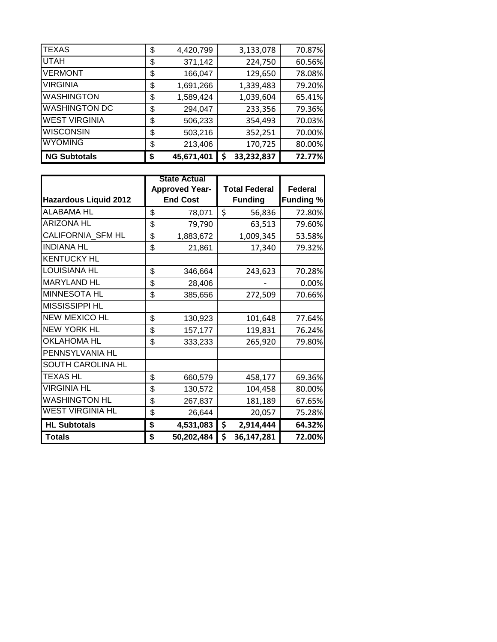| <b>NG Subtotals</b>  | \$<br>45,671,401 | 33,232,837<br>\$ | 72.77% |
|----------------------|------------------|------------------|--------|
| <b>WYOMING</b>       | \$<br>213,406    | 170,725          | 80.00% |
| <b>WISCONSIN</b>     | \$<br>503,216    | 352,251          | 70.00% |
| <b>WEST VIRGINIA</b> | \$<br>506,233    | 354,493          | 70.03% |
| <b>WASHINGTON DC</b> | \$<br>294,047    | 233,356          | 79.36% |
| <b>WASHINGTON</b>    | \$<br>1,589,424  | 1,039,604        | 65.41% |
| <b>VIRGINIA</b>      | \$<br>1,691,266  | 1,339,483        | 79.20% |
| <b>VERMONT</b>       | \$<br>166,047    | 129,650          | 78.08% |
| <b>UTAH</b>          | \$<br>371,142    | 224,750          | 60.56% |
| <b>TEXAS</b>         | \$<br>4,420,799  | 3,133,078        | 70.87% |

| <b>Hazardous Liquid 2012</b> | <b>State Actual</b><br><b>Approved Year-</b><br><b>End Cost</b> | <b>Total Federal</b><br><b>Funding</b> | Federal<br><b>Funding %</b> |
|------------------------------|-----------------------------------------------------------------|----------------------------------------|-----------------------------|
| <b>ALABAMA HL</b>            | \$<br>78,071                                                    | \$<br>56,836                           | 72.80%                      |
| <b>ARIZONA HL</b>            | \$<br>79,790                                                    | 63,513                                 | 79.60%                      |
| CALIFORNIA_SFM HL            | \$<br>1,883,672                                                 | 1,009,345                              | 53.58%                      |
| <b>INDIANA HL</b>            | \$<br>21,861                                                    | 17,340                                 | 79.32%                      |
| <b>KENTUCKY HL</b>           |                                                                 |                                        |                             |
| <b>LOUISIANA HL</b>          | \$<br>346,664                                                   | 243,623                                | 70.28%                      |
| <b>MARYLAND HL</b>           | \$<br>28,406                                                    |                                        | 0.00%                       |
| MINNESOTA HL                 | \$<br>385,656                                                   | 272,509                                | 70.66%                      |
| MISSISSIPPI HL               |                                                                 |                                        |                             |
| <b>NEW MEXICO HL</b>         | \$<br>130,923                                                   | 101,648                                | 77.64%                      |
| <b>NEW YORK HL</b>           | \$<br>157,177                                                   | 119,831                                | 76.24%                      |
| <b>OKLAHOMA HL</b>           | \$<br>333,233                                                   | 265,920                                | 79.80%                      |
| PENNSYLVANIA HL              |                                                                 |                                        |                             |
| SOUTH CAROLINA HL            |                                                                 |                                        |                             |
| TEXAS HL                     | \$<br>660,579                                                   | 458,177                                | 69.36%                      |
| <b>VIRGINIA HL</b>           | \$<br>130,572                                                   | 104,458                                | 80.00%                      |
| <b>WASHINGTON HL</b>         | \$<br>267,837                                                   | 181,189                                | 67.65%                      |
| <b>WEST VIRGINIA HL</b>      | \$<br>26,644                                                    | 20,057                                 | 75.28%                      |
| <b>HL Subtotals</b>          | \$<br>4,531,083                                                 | \$<br>2,914,444                        | 64.32%                      |
| <b>Totals</b>                | \$<br>50,202,484                                                | \$<br>36,147,281                       | 72.00%                      |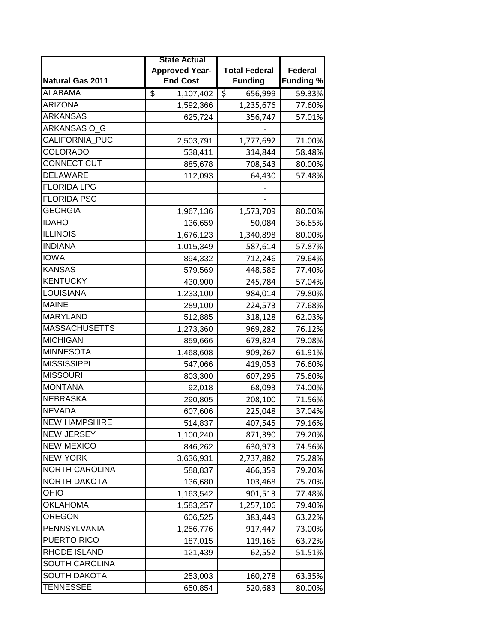|                         | <b>State Actual</b>   |                      |                  |
|-------------------------|-----------------------|----------------------|------------------|
|                         | <b>Approved Year-</b> | <b>Total Federal</b> | <b>Federal</b>   |
| <b>Natural Gas 2011</b> | <b>End Cost</b>       | <b>Funding</b>       | <b>Funding %</b> |
| <b>ALABAMA</b>          | \$<br>1,107,402       | \$<br>656,999        | 59.33%           |
| <b>ARIZONA</b>          | 1,592,366             | 1,235,676            | 77.60%           |
| <b>ARKANSAS</b>         | 625,724               | 356,747              | 57.01%           |
| ARKANSAS O_G            |                       |                      |                  |
| CALIFORNIA PUC          | 2,503,791             | 1,777,692            | 71.00%           |
| <b>COLORADO</b>         | 538,411               | 314,844              | 58.48%           |
| CONNECTICUT             | 885,678               | 708,543              | 80.00%           |
| <b>DELAWARE</b>         | 112,093               | 64,430               | 57.48%           |
| <b>FLORIDA LPG</b>      |                       |                      |                  |
| <b>FLORIDA PSC</b>      |                       |                      |                  |
| <b>GEORGIA</b>          | 1,967,136             | 1,573,709            | 80.00%           |
| <b>IDAHO</b>            | 136,659               | 50,084               | 36.65%           |
| <b>ILLINOIS</b>         | 1,676,123             | 1,340,898            | 80.00%           |
| <b>INDIANA</b>          | 1,015,349             | 587,614              | 57.87%           |
| <b>IOWA</b>             | 894,332               | 712,246              | 79.64%           |
| <b>KANSAS</b>           | 579,569               | 448,586              | 77.40%           |
| <b>KENTUCKY</b>         | 430,900               | 245,784              | 57.04%           |
| <b>LOUISIANA</b>        | 1,233,100             | 984,014              | 79.80%           |
| <b>MAINE</b>            | 289,100               | 224,573              | 77.68%           |
| <b>MARYLAND</b>         | 512,885               | 318,128              | 62.03%           |
| <b>MASSACHUSETTS</b>    | 1,273,360             | 969,282              | 76.12%           |
| <b>MICHIGAN</b>         | 859,666               | 679,824              | 79.08%           |
| <b>MINNESOTA</b>        | 1,468,608             | 909,267              | 61.91%           |
| <b>MISSISSIPPI</b>      | 547,066               | 419,053              | 76.60%           |
| <b>MISSOURI</b>         | 803,300               | 607,295              | 75.60%           |
| <b>MONTANA</b>          | 92,018                | 68,093               | 74.00%           |
| <b>NEBRASKA</b>         | 290,805               | 208,100              | 71.56%           |
| <b>NEVADA</b>           | 607,606               | 225,048              | 37.04%           |
| <b>NEW HAMPSHIRE</b>    | 514,837               | 407,545              | 79.16%           |
| <b>NEW JERSEY</b>       | 1,100,240             | 871,390              | 79.20%           |
| <b>NEW MEXICO</b>       | 846,262               | 630,973              | 74.56%           |
| <b>NEW YORK</b>         | 3,636,931             | 2,737,882            | 75.28%           |
| <b>NORTH CAROLINA</b>   | 588,837               | 466,359              | 79.20%           |
| <b>NORTH DAKOTA</b>     | 136,680               | 103,468              | 75.70%           |
| OHIO                    | 1,163,542             | 901,513              | 77.48%           |
| <b>OKLAHOMA</b>         | 1,583,257             | 1,257,106            | 79.40%           |
| <b>OREGON</b>           | 606,525               | 383,449              | 63.22%           |
| PENNSYLVANIA            | 1,256,776             | 917,447              | 73.00%           |
| PUERTO RICO             | 187,015               | 119,166              | 63.72%           |
| RHODE ISLAND            | 121,439               | 62,552               | 51.51%           |
| <b>SOUTH CAROLINA</b>   |                       |                      |                  |
| <b>SOUTH DAKOTA</b>     | 253,003               | 160,278              | 63.35%           |
| <b>TENNESSEE</b>        | 650,854               | 520,683              | 80.00%           |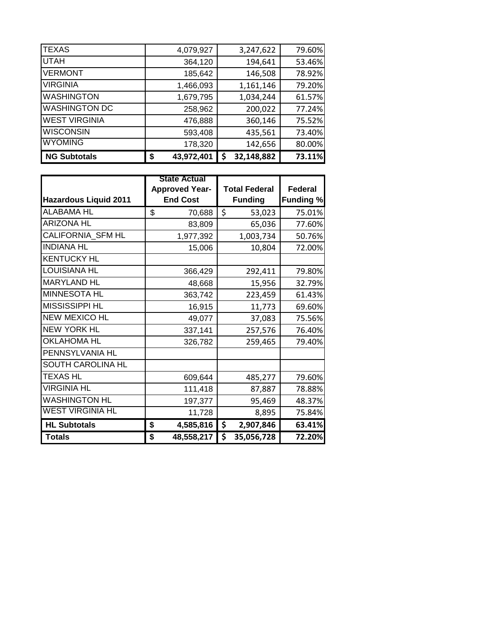| <b>NG Subtotals</b>  | 43,972,401<br>S | 32,148,882<br>\$ | 73.11% |
|----------------------|-----------------|------------------|--------|
| <b>WYOMING</b>       | 178,320         | 142,656          | 80.00% |
| <b>WISCONSIN</b>     | 593,408         | 435,561          | 73.40% |
| <b>WEST VIRGINIA</b> | 476,888         | 360,146          | 75.52% |
| <b>WASHINGTON DC</b> | 258,962         | 200,022          | 77.24% |
| <b>WASHINGTON</b>    | 1,679,795       | 1,034,244        | 61.57% |
| <b>VIRGINIA</b>      | 1,466,093       | 1,161,146        | 79.20% |
| <b>VERMONT</b>       | 185,642         | 146,508          | 78.92% |
| <b>UTAH</b>          | 364,120         | 194,641          | 53.46% |
| <b>TEXAS</b>         | 4,079,927       | 3,247,622        | 79.60% |

| <b>Hazardous Liquid 2011</b> | <b>State Actual</b><br><b>Approved Year-</b><br><b>End Cost</b> | <b>Total Federal</b><br><b>Funding</b> | Federal<br><b>Funding %</b> |
|------------------------------|-----------------------------------------------------------------|----------------------------------------|-----------------------------|
| <b>ALABAMA HL</b>            | \$<br>70,688                                                    | \$<br>53,023                           | 75.01%                      |
| <b>ARIZONA HL</b>            | 83,809                                                          | 65,036                                 | 77.60%                      |
| CALIFORNIA_SFM HL            | 1,977,392                                                       | 1,003,734                              | 50.76%                      |
| <b>INDIANA HL</b>            | 15,006                                                          | 10,804                                 | 72.00%                      |
| <b>KENTUCKY HL</b>           |                                                                 |                                        |                             |
| <b>LOUISIANA HL</b>          | 366,429                                                         | 292,411                                | 79.80%                      |
| <b>MARYLAND HL</b>           | 48,668                                                          | 15,956                                 | 32.79%                      |
| MINNESOTA HL                 | 363,742                                                         | 223,459                                | 61.43%                      |
| MISSISSIPPI HL               | 16,915                                                          | 11,773                                 | 69.60%                      |
| <b>NEW MEXICO HL</b>         | 49,077                                                          | 37,083                                 | 75.56%                      |
| <b>NEW YORK HL</b>           | 337,141                                                         | 257,576                                | 76.40%                      |
| <b>OKLAHOMA HL</b>           | 326,782                                                         | 259,465                                | 79.40%                      |
| PENNSYLVANIA HL              |                                                                 |                                        |                             |
| SOUTH CAROLINA HL            |                                                                 |                                        |                             |
| <b>TEXAS HL</b>              | 609,644                                                         | 485,277                                | 79.60%                      |
| <b>VIRGINIA HL</b>           | 111,418                                                         | 87,887                                 | 78.88%                      |
| <b>WASHINGTON HL</b>         | 197,377                                                         | 95,469                                 | 48.37%                      |
| <b>WEST VIRGINIA HL</b>      | 11,728                                                          | 8,895                                  | 75.84%                      |
| <b>HL Subtotals</b>          | \$<br>4,585,816                                                 | \$<br>2,907,846                        | 63.41%                      |
| <b>Totals</b>                | \$<br>48,558,217                                                | \$<br>35,056,728                       | 72.20%                      |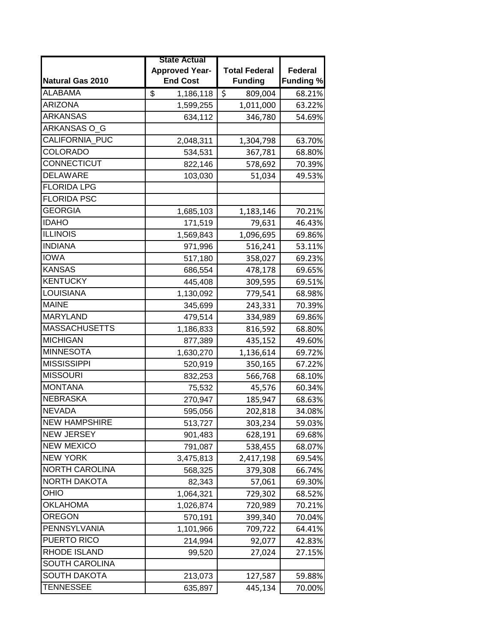|                         | <b>State Actual</b>   |                      |                  |
|-------------------------|-----------------------|----------------------|------------------|
|                         | <b>Approved Year-</b> | <b>Total Federal</b> | Federal          |
| <b>Natural Gas 2010</b> | <b>End Cost</b>       | <b>Funding</b>       | <b>Funding %</b> |
| <b>ALABAMA</b>          | \$<br>1,186,118       | \$<br>809,004        | 68.21%           |
| <b>ARIZONA</b>          | 1,599,255             | 1,011,000            | 63.22%           |
| <b>ARKANSAS</b>         | 634,112               | 346,780              | 54.69%           |
| ARKANSAS O G            |                       |                      |                  |
| CALIFORNIA PUC          | 2,048,311             | 1,304,798            | 63.70%           |
| <b>COLORADO</b>         | 534,531               | 367,781              | 68.80%           |
| CONNECTICUT             | 822,146               | 578,692              | 70.39%           |
| <b>DELAWARE</b>         | 103,030               | 51,034               | 49.53%           |
| <b>FLORIDA LPG</b>      |                       |                      |                  |
| <b>FLORIDA PSC</b>      |                       |                      |                  |
| <b>GEORGIA</b>          | 1,685,103             | 1,183,146            | 70.21%           |
| <b>IDAHO</b>            | 171,519               | 79,631               | 46.43%           |
| <b>ILLINOIS</b>         | 1,569,843             | 1,096,695            | 69.86%           |
| <b>INDIANA</b>          | 971,996               | 516,241              | 53.11%           |
| <b>IOWA</b>             | 517,180               | 358,027              | 69.23%           |
| <b>KANSAS</b>           | 686,554               | 478,178              | 69.65%           |
| <b>KENTUCKY</b>         | 445,408               | 309,595              | 69.51%           |
| <b>LOUISIANA</b>        | 1,130,092             | 779,541              | 68.98%           |
| <b>MAINE</b>            | 345,699               | 243,331              | 70.39%           |
| <b>MARYLAND</b>         | 479,514               | 334,989              | 69.86%           |
| <b>MASSACHUSETTS</b>    | 1,186,833             | 816,592              | 68.80%           |
| <b>MICHIGAN</b>         | 877,389               | 435,152              | 49.60%           |
| <b>MINNESOTA</b>        | 1,630,270             | 1,136,614            | 69.72%           |
| <b>MISSISSIPPI</b>      | 520,919               | 350,165              | 67.22%           |
| <b>MISSOURI</b>         | 832,253               | 566,768              | 68.10%           |
| <b>MONTANA</b>          | 75,532                | 45,576               | 60.34%           |
| <b>NEBRASKA</b>         | 270,947               | 185,947              | 68.63%           |
| <b>NEVADA</b>           | 595,056               | 202,818              | 34.08%           |
| <b>NEW HAMPSHIRE</b>    | 513,727               | 303,234              | 59.03%           |
| <b>NEW JERSEY</b>       | 901,483               | 628,191              | 69.68%           |
| <b>NEW MEXICO</b>       | 791,087               | 538,455              | 68.07%           |
| <b>NEW YORK</b>         | 3,475,813             | 2,417,198            | 69.54%           |
| <b>NORTH CAROLINA</b>   | 568,325               | 379,308              | 66.74%           |
| <b>NORTH DAKOTA</b>     | 82,343                | 57,061               | 69.30%           |
| OHIO                    | 1,064,321             | 729,302              | 68.52%           |
| <b>OKLAHOMA</b>         | 1,026,874             | 720,989              | 70.21%           |
| <b>OREGON</b>           | 570,191               | 399,340              | 70.04%           |
| PENNSYLVANIA            | 1,101,966             | 709,722              | 64.41%           |
| PUERTO RICO             | 214,994               | 92,077               | 42.83%           |
| RHODE ISLAND            | 99,520                | 27,024               | 27.15%           |
| <b>SOUTH CAROLINA</b>   |                       |                      |                  |
| <b>SOUTH DAKOTA</b>     |                       |                      |                  |
| <b>TENNESSEE</b>        | 213,073               | 127,587              | 59.88%           |
|                         | 635,897               | 445,134              | 70.00%           |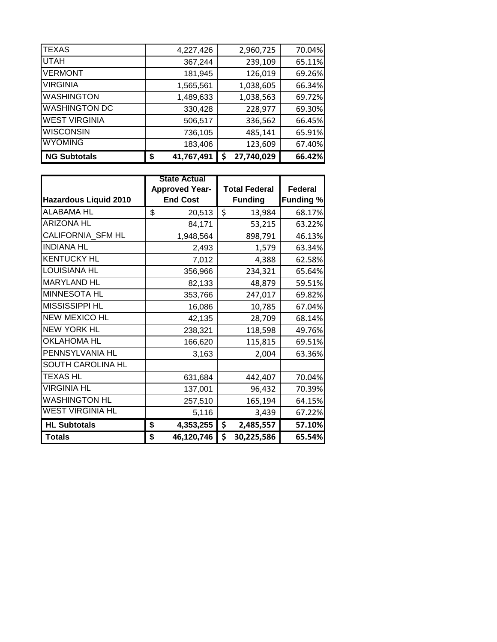| <b>NG Subtotals</b>  | 41,767,491<br>S | 27,740,029<br>\$ | 66.42% |
|----------------------|-----------------|------------------|--------|
| <b>WYOMING</b>       | 183,406         | 123,609          | 67.40% |
| <b>WISCONSIN</b>     | 736,105         | 485,141          | 65.91% |
| <b>WEST VIRGINIA</b> | 506,517         | 336,562          | 66.45% |
| <b>WASHINGTON DC</b> | 330,428         | 228,977          | 69.30% |
| <b>WASHINGTON</b>    | 1,489,633       | 1,038,563        | 69.72% |
| <b>VIRGINIA</b>      | 1,565,561       | 1,038,605        | 66.34% |
| <b>VERMONT</b>       | 181,945         | 126,019          | 69.26% |
| <b>UTAH</b>          | 367,244         | 239,109          | 65.11% |
| <b>TEXAS</b>         | 4,227,426       | 2,960,725        | 70.04% |

|                              | <b>State Actual</b><br><b>Approved Year-</b> | <b>Total Federal</b> | <b>Federal</b>   |
|------------------------------|----------------------------------------------|----------------------|------------------|
| <b>Hazardous Liquid 2010</b> | <b>End Cost</b>                              | <b>Funding</b>       | <b>Funding %</b> |
| <b>ALABAMA HL</b>            | \$<br>20,513                                 | \$<br>13,984         | 68.17%           |
| <b>ARIZONA HL</b>            | 84,171                                       | 53,215               | 63.22%           |
| CALIFORNIA SFM HL            | 1,948,564                                    | 898,791              | 46.13%           |
| <b>INDIANA HL</b>            | 2,493                                        | 1,579                | 63.34%           |
| <b>KENTUCKY HL</b>           | 7,012                                        | 4,388                | 62.58%           |
| <b>LOUISIANA HL</b>          | 356,966                                      | 234,321              | 65.64%           |
| <b>MARYLAND HL</b>           | 82,133                                       | 48,879               | 59.51%           |
| MINNESOTA HL                 | 353,766                                      | 247,017              | 69.82%           |
| MISSISSIPPI HL               | 16,086                                       | 10,785               | 67.04%           |
| <b>NEW MEXICO HL</b>         | 42,135                                       | 28,709               | 68.14%           |
| <b>NEW YORK HL</b>           | 238,321                                      | 118,598              | 49.76%           |
| <b>OKLAHOMA HL</b>           | 166,620                                      | 115,815              | 69.51%           |
| PENNSYLVANIA HL              | 3,163                                        | 2,004                | 63.36%           |
| SOUTH CAROLINA HL            |                                              |                      |                  |
| <b>TEXAS HL</b>              | 631,684                                      | 442,407              | 70.04%           |
| <b>VIRGINIA HL</b>           | 137,001                                      | 96,432               | 70.39%           |
| <b>WASHINGTON HL</b>         | 257,510                                      | 165,194              | 64.15%           |
| <b>WEST VIRGINIA HL</b>      | 5,116                                        | 3,439                | 67.22%           |
| <b>HL Subtotals</b>          | \$<br>4,353,255                              | \$<br>2,485,557      | 57.10%           |
| <b>Totals</b>                | \$<br>46,120,746                             | \$<br>30,225,586     | 65.54%           |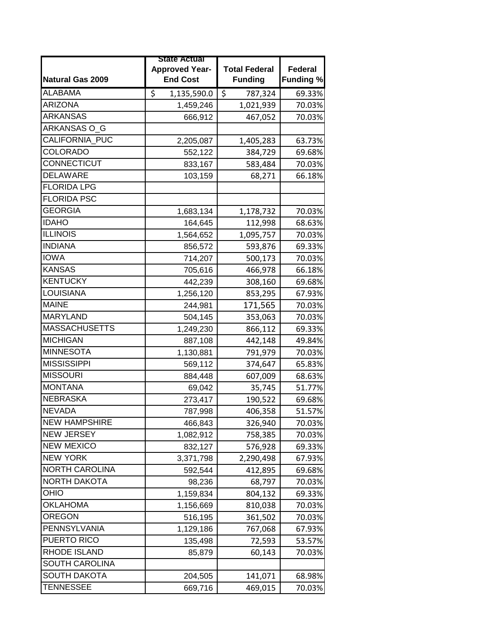|                         | State Actual          |                      |                  |
|-------------------------|-----------------------|----------------------|------------------|
|                         | <b>Approved Year-</b> | <b>Total Federal</b> | <b>Federal</b>   |
| <b>Natural Gas 2009</b> | <b>End Cost</b>       | <b>Funding</b>       | <b>Funding %</b> |
| <b>ALABAMA</b>          | \$<br>1,135,590.0     | \$<br>787,324        | 69.33%           |
| <b>ARIZONA</b>          | 1,459,246             | 1,021,939            | 70.03%           |
| <b>ARKANSAS</b>         | 666,912               | 467,052              | 70.03%           |
| ARKANSAS O_G            |                       |                      |                  |
| CALIFORNIA PUC          | 2,205,087             | 1,405,283            | 63.73%           |
| <b>COLORADO</b>         | 552,122               | 384,729              | 69.68%           |
| CONNECTICUT             | 833,167               | 583,484              | 70.03%           |
| <b>DELAWARE</b>         | 103,159               | 68,271               | 66.18%           |
| <b>FLORIDA LPG</b>      |                       |                      |                  |
| <b>FLORIDA PSC</b>      |                       |                      |                  |
| <b>GEORGIA</b>          | 1,683,134             | 1,178,732            | 70.03%           |
| <b>IDAHO</b>            | 164,645               | 112,998              | 68.63%           |
| <b>ILLINOIS</b>         | 1,564,652             | 1,095,757            | 70.03%           |
| <b>INDIANA</b>          | 856,572               | 593,876              | 69.33%           |
| <b>IOWA</b>             | 714,207               | 500,173              | 70.03%           |
| <b>KANSAS</b>           | 705,616               | 466,978              | 66.18%           |
| <b>KENTUCKY</b>         | 442,239               | 308,160              | 69.68%           |
| <b>LOUISIANA</b>        | 1,256,120             | 853,295              | 67.93%           |
| <b>MAINE</b>            | 244,981               | 171,565              | 70.03%           |
| <b>MARYLAND</b>         | 504,145               | 353,063              | 70.03%           |
| <b>MASSACHUSETTS</b>    | 1,249,230             | 866,112              | 69.33%           |
| <b>MICHIGAN</b>         | 887,108               | 442,148              | 49.84%           |
| <b>MINNESOTA</b>        | 1,130,881             | 791,979              | 70.03%           |
| <b>MISSISSIPPI</b>      | 569,112               | 374,647              | 65.83%           |
| <b>MISSOURI</b>         | 884,448               | 607,009              | 68.63%           |
| <b>MONTANA</b>          | 69,042                | 35,745               | 51.77%           |
| <b>NEBRASKA</b>         | 273,417               | 190,522              | 69.68%           |
| <b>NEVADA</b>           | 787,998               | 406,358              | 51.57%           |
| <b>NEW HAMPSHIRE</b>    | 466,843               | 326,940              | 70.03%           |
| <b>NEW JERSEY</b>       | 1,082,912             | 758,385              | 70.03%           |
| <b>NEW MEXICO</b>       | 832,127               | 576,928              | 69.33%           |
| <b>NEW YORK</b>         | 3,371,798             | 2,290,498            | 67.93%           |
| <b>NORTH CAROLINA</b>   | 592,544               | 412,895              | 69.68%           |
| <b>NORTH DAKOTA</b>     | 98,236                | 68,797               | 70.03%           |
| OHIO                    | 1,159,834             | 804,132              | 69.33%           |
| <b>OKLAHOMA</b>         | 1,156,669             | 810,038              | 70.03%           |
| <b>OREGON</b>           | 516,195               | 361,502              | 70.03%           |
| PENNSYLVANIA            | 1,129,186             | 767,068              | 67.93%           |
| PUERTO RICO             | 135,498               | 72,593               | 53.57%           |
| RHODE ISLAND            | 85,879                | 60,143               | 70.03%           |
| SOUTH CAROLINA          |                       |                      |                  |
| <b>SOUTH DAKOTA</b>     | 204,505               | 141,071              | 68.98%           |
| <b>TENNESSEE</b>        | 669,716               | 469,015              | 70.03%           |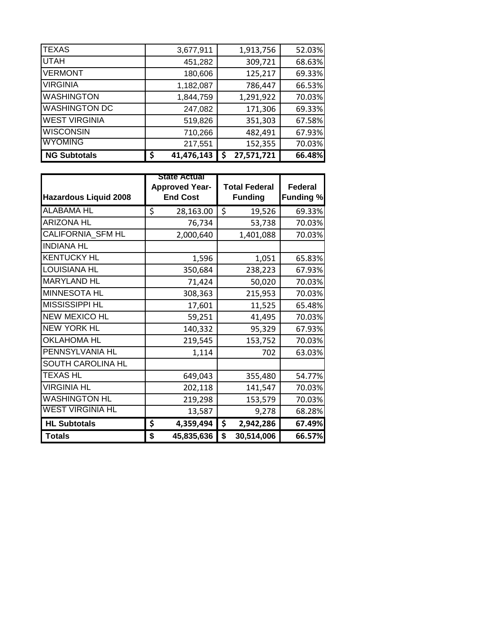| <b>NG Subtotals</b>  | 41,476,143<br>\$ | 27,571,721<br>\$ | 66.48% |
|----------------------|------------------|------------------|--------|
| <b>WYOMING</b>       | 217,551          | 152,355          | 70.03% |
| <b>WISCONSIN</b>     | 710,266          | 482,491          | 67.93% |
| <b>WEST VIRGINIA</b> | 519,826          | 351,303          | 67.58% |
| <b>WASHINGTON DC</b> | 247,082          | 171,306          | 69.33% |
| <b>WASHINGTON</b>    | 1,844,759        | 1,291,922        | 70.03% |
| <b>VIRGINIA</b>      | 1,182,087        | 786,447          | 66.53% |
| <b>VERMONT</b>       | 180,606          | 125,217          | 69.33% |
| <b>UTAH</b>          | 451,282          | 309,721          | 68.63% |
| <b>TEXAS</b>         | 3,677,911        | 1,913,756        | 52.03% |

| <b>Hazardous Liquid 2008</b> | State Actual<br><b>Approved Year-</b><br><b>End Cost</b> | <b>Total Federal</b><br><b>Funding</b> | Federal<br><b>Funding %</b> |
|------------------------------|----------------------------------------------------------|----------------------------------------|-----------------------------|
| <b>ALABAMA HL</b>            | \$<br>28,163.00                                          | \$<br>19,526                           | 69.33%                      |
| <b>ARIZONA HL</b>            | 76,734                                                   | 53,738                                 | 70.03%                      |
| CALIFORNIA SFM HL            | 2,000,640                                                | 1,401,088                              | 70.03%                      |
| <b>INDIANA HL</b>            |                                                          |                                        |                             |
| <b>KENTUCKY HL</b>           | 1,596                                                    | 1,051                                  | 65.83%                      |
| <b>LOUISIANA HL</b>          | 350,684                                                  | 238,223                                | 67.93%                      |
| <b>MARYLAND HL</b>           | 71,424                                                   | 50,020                                 | 70.03%                      |
| MINNESOTA HL                 | 308,363                                                  | 215,953                                | 70.03%                      |
| MISSISSIPPI HL               | 17,601                                                   | 11,525                                 | 65.48%                      |
| <b>NEW MEXICO HL</b>         | 59,251                                                   | 41,495                                 | 70.03%                      |
| <b>NEW YORK HL</b>           | 140,332                                                  | 95,329                                 | 67.93%                      |
| <b>OKLAHOMA HL</b>           | 219,545                                                  | 153,752                                | 70.03%                      |
| PENNSYLVANIA HL              | 1,114                                                    | 702                                    | 63.03%                      |
| SOUTH CAROLINA HL            |                                                          |                                        |                             |
| <b>TEXAS HL</b>              | 649,043                                                  | 355,480                                | 54.77%                      |
| <b>VIRGINIA HL</b>           | 202,118                                                  | 141,547                                | 70.03%                      |
| <b>WASHINGTON HL</b>         | 219,298                                                  | 153,579                                | 70.03%                      |
| <b>WEST VIRGINIA HL</b>      | 13,587                                                   | 9,278                                  | 68.28%                      |
| <b>HL Subtotals</b>          | \$<br>4,359,494                                          | \$<br>2,942,286                        | 67.49%                      |
| <b>Totals</b>                | \$<br>45,835,636                                         | \$<br>30,514,006                       | 66.57%                      |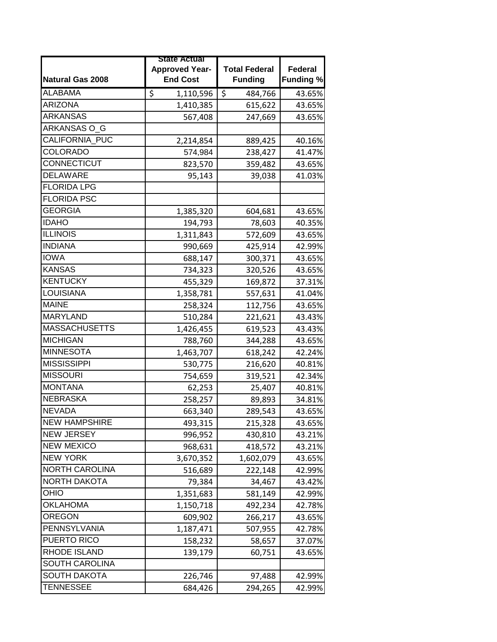|                         | State Actual          |                      |                  |
|-------------------------|-----------------------|----------------------|------------------|
|                         | <b>Approved Year-</b> | <b>Total Federal</b> | <b>Federal</b>   |
| <b>Natural Gas 2008</b> | <b>End Cost</b>       | <b>Funding</b>       | <b>Funding %</b> |
| <b>ALABAMA</b>          | \$<br>1,110,596       | \$<br>484,766        | 43.65%           |
| <b>ARIZONA</b>          | 1,410,385             | 615,622              | 43.65%           |
| <b>ARKANSAS</b>         | 567,408               | 247,669              | 43.65%           |
| ARKANSAS O_G            |                       |                      |                  |
| CALIFORNIA PUC          | 2,214,854             | 889,425              | 40.16%           |
| <b>COLORADO</b>         | 574,984               | 238,427              | 41.47%           |
| CONNECTICUT             | 823,570               | 359,482              | 43.65%           |
| <b>DELAWARE</b>         | 95,143                | 39,038               | 41.03%           |
| <b>FLORIDA LPG</b>      |                       |                      |                  |
| <b>FLORIDA PSC</b>      |                       |                      |                  |
| <b>GEORGIA</b>          | 1,385,320             | 604,681              | 43.65%           |
| <b>IDAHO</b>            | 194,793               | 78,603               | 40.35%           |
| <b>ILLINOIS</b>         | 1,311,843             | 572,609              | 43.65%           |
| <b>INDIANA</b>          | 990,669               | 425,914              | 42.99%           |
| <b>IOWA</b>             | 688,147               | 300,371              | 43.65%           |
| <b>KANSAS</b>           | 734,323               | 320,526              | 43.65%           |
| <b>KENTUCKY</b>         | 455,329               | 169,872              | 37.31%           |
| <b>LOUISIANA</b>        | 1,358,781             | 557,631              | 41.04%           |
| <b>MAINE</b>            | 258,324               | 112,756              | 43.65%           |
| <b>MARYLAND</b>         | 510,284               | 221,621              | 43.43%           |
| <b>MASSACHUSETTS</b>    | 1,426,455             | 619,523              | 43.43%           |
| <b>MICHIGAN</b>         | 788,760               | 344,288              | 43.65%           |
| <b>MINNESOTA</b>        | 1,463,707             | 618,242              | 42.24%           |
| <b>MISSISSIPPI</b>      | 530,775               | 216,620              | 40.81%           |
| <b>MISSOURI</b>         | 754,659               | 319,521              | 42.34%           |
| <b>MONTANA</b>          | 62,253                | 25,407               | 40.81%           |
| <b>NEBRASKA</b>         | 258,257               | 89,893               | 34.81%           |
| <b>NEVADA</b>           | 663,340               | 289,543              | 43.65%           |
| <b>NEW HAMPSHIRE</b>    | 493,315               | 215,328              | 43.65%           |
| <b>NEW JERSEY</b>       | 996,952               | 430,810              | 43.21%           |
| <b>NEW MEXICO</b>       | 968,631               | 418,572              | 43.21%           |
| <b>NEW YORK</b>         | 3,670,352             | 1,602,079            | 43.65%           |
| <b>NORTH CAROLINA</b>   | 516,689               | 222,148              | 42.99%           |
| <b>NORTH DAKOTA</b>     | 79,384                | 34,467               | 43.42%           |
| OHIO                    | 1,351,683             | 581,149              | 42.99%           |
| <b>OKLAHOMA</b>         | 1,150,718             | 492,234              | 42.78%           |
| <b>OREGON</b>           | 609,902               | 266,217              | 43.65%           |
| PENNSYLVANIA            | 1,187,471             | 507,955              | 42.78%           |
| PUERTO RICO             | 158,232               | 58,657               | 37.07%           |
| RHODE ISLAND            | 139,179               | 60,751               | 43.65%           |
| <b>SOUTH CAROLINA</b>   |                       |                      |                  |
| <b>SOUTH DAKOTA</b>     | 226,746               | 97,488               | 42.99%           |
| <b>TENNESSEE</b>        | 684,426               | 294,265              | 42.99%           |